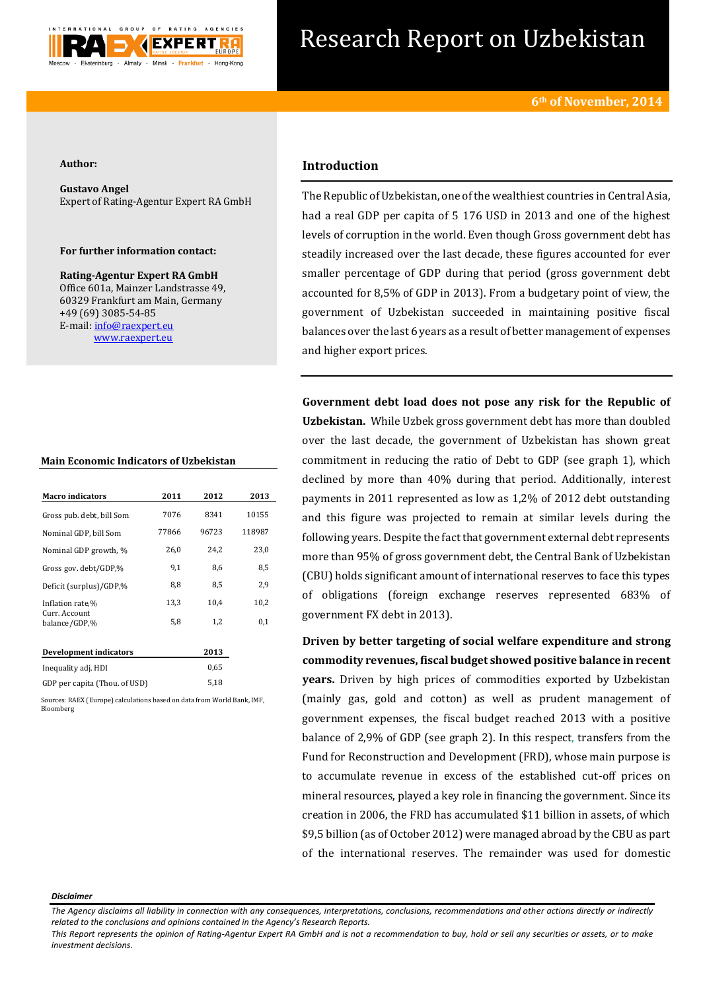

# Research Report on Uzbekistan

#### **Author:**

**Gustavo Angel** Expert of Rating-Agentur Expert RA GmbH

## **For further information contact:**

**Rating-Agentur Expert RA GmbH** Office 601a, Mainzer Landstrasse 49, 60329 Frankfurt am Main, Germany +49 (69) 3085-54-85 E-mail[: info@raexpert.eu](mailto:info@raexpert.eu) [www.raexpert.eu](http://raexpert.eu/)

## **Main Economic Indicators of Uzbekistan**

| <b>Macro indicators</b>        | 2011  | 2012  | 2013   |
|--------------------------------|-------|-------|--------|
| Gross pub. debt, bill Som      | 7076  | 8341  | 10155  |
| Nominal GDP, bill Som          | 77866 | 96723 | 118987 |
| Nominal GDP growth, %          | 26,0  | 24,2  | 23,0   |
| Gross gov. debt/GDP,%          | 9,1   | 8,6   | 8,5    |
| Deficit (surplus)/GDP,%        | 8,8   | 8,5   | 2,9    |
| Inflation rate,%               | 13,3  | 10,4  | 10,2   |
| Curr. Account<br>balance/GDP,% | 5,8   | 1,2   | 0,1    |
| Development indicators         |       | 2013  |        |
| Inequality adj. HDI            |       | 0.65  |        |
| GDP per capita (Thou. of USD)  |       | 5,18  |        |

Sources: RAEX (Europe) calculations based on data from World Bank, IMF, Bloomberg

# **Introduction**

The Republic of Uzbekistan, one of the wealthiest countries in Central Asia, had a real GDP per capita of 5 176 USD in 2013 and one of the highest levels of corruption in the world. Even though Gross government debt has steadily increased over the last decade, these figures accounted for ever smaller percentage of GDP during that period (gross government debt accounted for 8,5% of GDP in 2013). From a budgetary point of view, the government of Uzbekistan succeeded in maintaining positive fiscal balances over the last 6 years as a result of better management of expenses and higher export prices.

**Government debt load does not pose any risk for the Republic of Uzbekistan.** While Uzbek gross government debt has more than doubled over the last decade, the government of Uzbekistan has shown great commitment in reducing the ratio of Debt to GDP (see graph 1), which declined by more than 40% during that period. Additionally, interest payments in 2011 represented as low as 1,2% of 2012 debt outstanding and this figure was projected to remain at similar levels during the following years. Despite the fact that government external debt represents more than 95% of gross government debt, the Central Bank of Uzbekistan (CBU) holds significant amount of international reserves to face this types of obligations (foreign exchange reserves represented 683% of government FX debt in 2013).

**Driven by better targeting of social welfare expenditure and strong commodity revenues, fiscal budget showed positive balance in recent years.** Driven by high prices of commodities exported by Uzbekistan (mainly gas, gold and cotton) as well as prudent management of government expenses, the fiscal budget reached 2013 with a positive balance of 2,9% of GDP (see graph 2). In this respect, transfers from the Fund for Reconstruction and Development (FRD), whose main purpose is to accumulate revenue in excess of the established cut-off prices on mineral resources, played a key role in financing the government. Since its creation in 2006, the FRD has accumulated \$11 billion in assets, of which \$9,5 billion (as of October 2012) were managed abroad by the CBU as part of the international reserves. The remainder was used for domestic

#### *Disclaimer*

*This Report represents the opinion of Rating-Agentur Expert RA GmbH and is not a recommendation to buy, hold or sell any securities or assets, or to make investment decisions.*

*The Agency disclaims all liability in connection with any consequences, interpretations, conclusions, recommendations and other actions directly or indirectly related to the conclusions and opinions contained in the Agency's Research Reports.*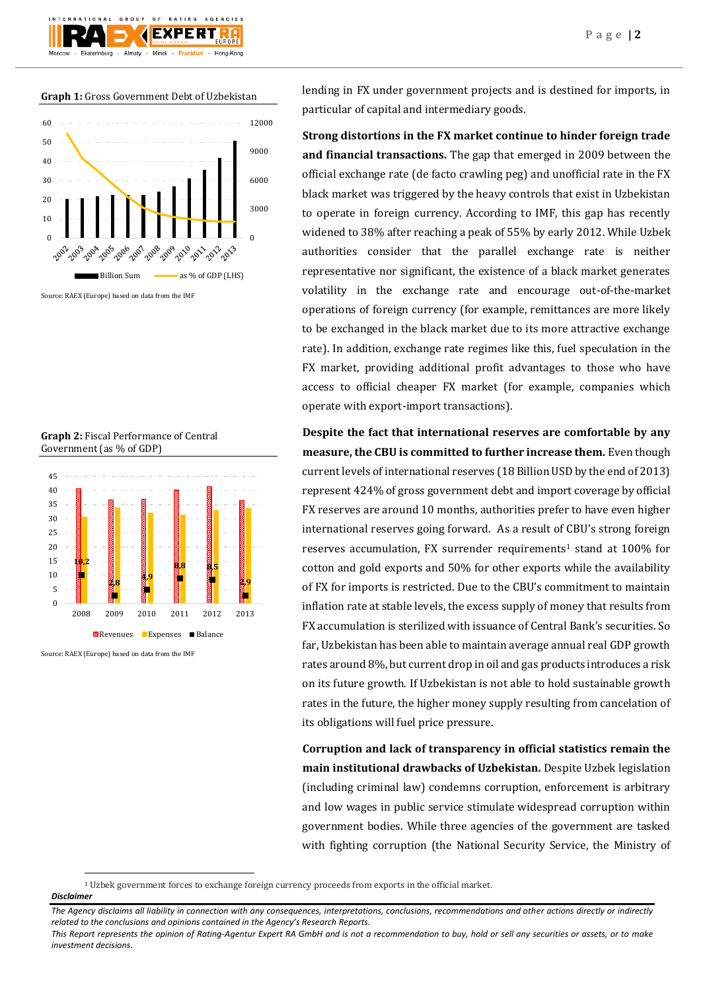**Graph 1:** Gross Government Debt of Uzbekistan



**Graph 2:** Fiscal Performance of Central Government (as % of GDP)



Source: RAEX (Europe) based on data from the IMF

lending in FX under government projects and is destined for imports, in particular of capital and intermediary goods.

**Strong distortions in the FX market continue to hinder foreign trade and financial transactions.** The gap that emerged in 2009 between the official exchange rate (de facto crawling peg) and unofficial rate in the FX black market was triggered by the heavy controls that exist in Uzbekistan to operate in foreign currency. According to IMF, this gap has recently widened to 38% after reaching a peak of 55% by early 2012. While Uzbek authorities consider that the parallel exchange rate is neither representative nor significant, the existence of a black market generates volatility in the exchange rate and encourage out-of-the-market operations of foreign currency (for example, remittances are more likely to be exchanged in the black market due to its more attractive exchange rate). In addition, exchange rate regimes like this, fuel speculation in the FX market, providing additional profit advantages to those who have access to official cheaper FX market (for example, companies which operate with export-import transactions).

**Despite the fact that international reserves are comfortable by any measure, the CBU is committed to further increase them.** Even though current levels of international reserves (18 Billion USD by the end of 2013) represent 424% of gross government debt and import coverage by official FX reserves are around 10 months, authorities prefer to have even higher international reserves going forward. As a result of CBU's strong foreign reserves accumulation, FX surrender requirements<sup>1</sup> stand at  $100\%$  for cotton and gold exports and 50% for other exports while the availability of FX for imports is restricted. Due to the CBU's commitment to maintain inflation rate at stable levels, the excess supply of money that results from FX accumulation is sterilized with issuance of Central Bank's securities. So far, Uzbekistan has been able to maintain average annual real GDP growth rates around 8%, but current drop in oil and gas products introduces a risk on its future growth. If Uzbekistan is not able to hold sustainable growth rates in the future, the higher money supply resulting from cancelation of its obligations will fuel price pressure.

**Corruption and lack of transparency in official statistics remain the main institutional drawbacks of Uzbekistan.** Despite Uzbek legislation (including criminal law) condemns corruption, enforcement is arbitrary and low wages in public service stimulate widespread corruption within government bodies. While three agencies of the government are tasked with fighting corruption (the National Security Service, the Ministry of

# *Disclaimer*

**.** 

<sup>1</sup> Uzbek government forces to exchange foreign currency proceeds from exports in the official market.

*The Agency disclaims all liability in connection with any consequences, interpretations, conclusions, recommendations and other actions directly or indirectly related to the conclusions and opinions contained in the Agency's Research Reports.*

*This Report represents the opinion of Rating-Agentur Expert RA GmbH and is not a recommendation to buy, hold or sell any securities or assets, or to make investment decisions.*